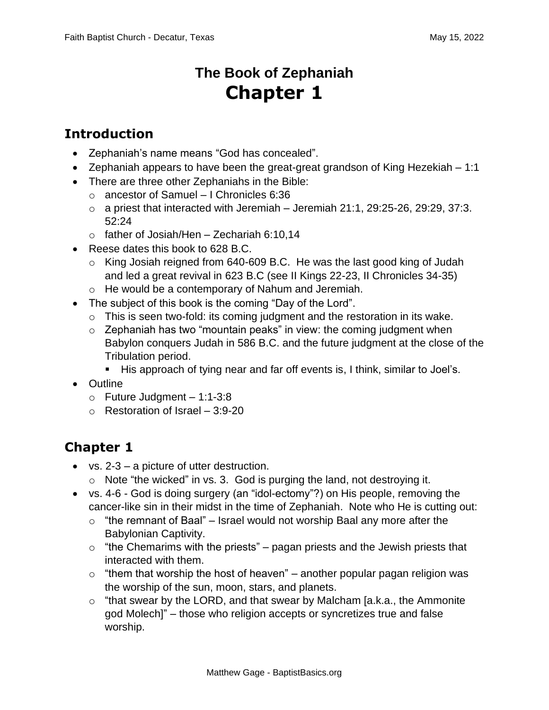## **The Book of Zephaniah Chapter 1**

## **Introduction**

- Zephaniah's name means "God has concealed".
- Zephaniah appears to have been the great-great grandson of King Hezekiah 1:1
- There are three other Zephaniahs in the Bible:
	- o ancestor of Samuel I Chronicles 6:36
	- $\circ$  a priest that interacted with Jeremiah Jeremiah 21:1, 29:25-26, 29:29, 37:3. 52:24
	- $\circ$  father of Josiah/Hen Zechariah 6:10,14
- Reese dates this book to 628 B.C.
	- o King Josiah reigned from 640-609 B.C. He was the last good king of Judah and led a great revival in 623 B.C (see II Kings 22-23, II Chronicles 34-35)
	- o He would be a contemporary of Nahum and Jeremiah.
- The subject of this book is the coming "Day of the Lord".
	- o This is seen two-fold: its coming judgment and the restoration in its wake.
	- $\circ$  Zephaniah has two "mountain peaks" in view: the coming judgment when Babylon conquers Judah in 586 B.C. and the future judgment at the close of the Tribulation period.
		- His approach of tying near and far off events is, I think, similar to Joel's.
- Outline
	- $\circ$  Future Judgment 1:1-3:8
	- o Restoration of Israel 3:9-20

## **Chapter 1**

- vs. 2-3 a picture of utter destruction.
	- $\circ$  Note "the wicked" in vs. 3. God is purging the land, not destroying it.
- vs. 4-6 God is doing surgery (an "idol-ectomy"?) on His people, removing the cancer-like sin in their midst in the time of Zephaniah. Note who He is cutting out:
	- $\circ$  "the remnant of Baal" Israel would not worship Baal any more after the Babylonian Captivity.
	- $\circ$  "the Chemarims with the priests" pagan priests and the Jewish priests that interacted with them.
	- $\circ$  "them that worship the host of heaven" another popular pagan religion was the worship of the sun, moon, stars, and planets.
	- $\circ$  "that swear by the LORD, and that swear by Malcham [a.k.a., the Ammonite god Molech]" – those who religion accepts or syncretizes true and false worship.